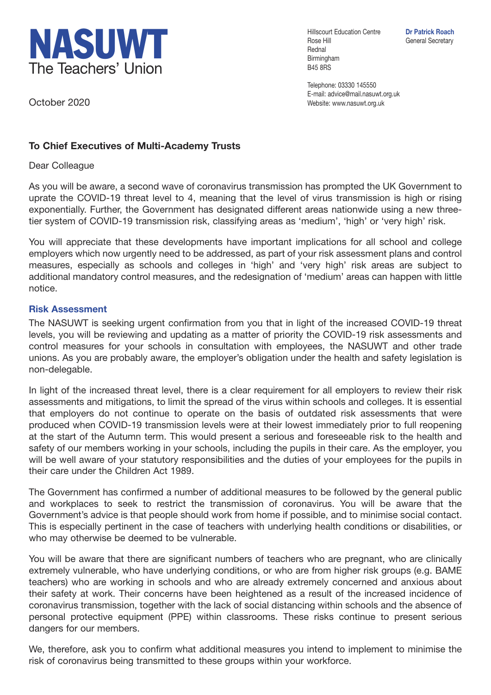

Hillscourt Education Centre **Dr Patrick Roach** Rose Hill General Secretary Rednal Birmingham B45 8RS

Telephone: 03330 145550 E-mail: advice@mail.nasuwt.org.uk Website: www.nasuwt.org.uk

October 2020

## **To Chief Executives of Multi-Academy Trusts**

Dear Colleague

As you will be aware, a second wave of coronavirus transmission has prompted the UK Government to uprate the COVID-19 threat level to 4, meaning that the level of virus transmission is high or rising exponentially. Further, the Government has designated different areas nationwide using a new threetier system of COVID-19 transmission risk, classifying areas as 'medium', 'high' or 'very high' risk.

You will appreciate that these developments have important implications for all school and college employers which now urgently need to be addressed, as part of your risk assessment plans and control measures, especially as schools and colleges in 'high' and 'very high' risk areas are subject to additional mandatory control measures, and the redesignation of 'medium' areas can happen with little notice.

## **Risk Assessment**

The NASUWT is seeking urgent confirmation from you that in light of the increased COVID-19 threat levels, you will be reviewing and updating as a matter of priority the COVID-19 risk assessments and control measures for your schools in consultation with employees, the NASUWT and other trade unions. As you are probably aware, the employer's obligation under the health and safety legislation is non-delegable.

In light of the increased threat level, there is a clear requirement for all employers to review their risk assessments and mitigations, to limit the spread of the virus within schools and colleges. It is essential that employers do not continue to operate on the basis of outdated risk assessments that were produced when COVID-19 transmission levels were at their lowest immediately prior to full reopening at the start of the Autumn term. This would present a serious and foreseeable risk to the health and safety of our members working in your schools, including the pupils in their care. As the employer, you will be well aware of your statutory responsibilities and the duties of your employees for the pupils in their care under the Children Act 1989.

The Government has confirmed a number of additional measures to be followed by the general public and workplaces to seek to restrict the transmission of coronavirus. You will be aware that the Government's advice is that people should work from home if possible, and to minimise social contact. This is especially pertinent in the case of teachers with underlying health conditions or disabilities, or who may otherwise be deemed to be vulnerable.

You will be aware that there are significant numbers of teachers who are pregnant, who are clinically extremely vulnerable, who have underlying conditions, or who are from higher risk groups (e.g. BAME teachers) who are working in schools and who are already extremely concerned and anxious about their safety at work. Their concerns have been heightened as a result of the increased incidence of coronavirus transmission, together with the lack of social distancing within schools and the absence of personal protective equipment (PPE) within classrooms. These risks continue to present serious dangers for our members.

We, therefore, ask you to confirm what additional measures you intend to implement to minimise the risk of coronavirus being transmitted to these groups within your workforce.